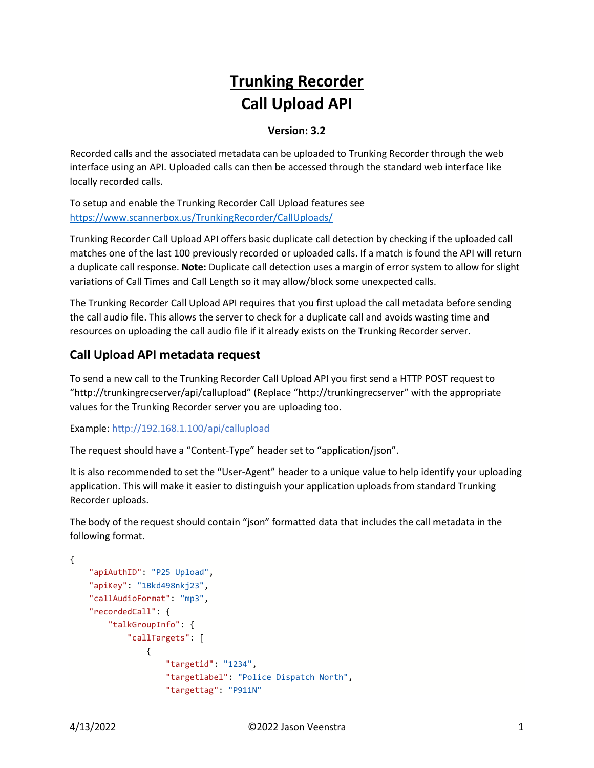# **Trunking Recorder Call Upload API**

#### **Version: 3.2**

Recorded calls and the associated metadata can be uploaded to Trunking Recorder through the web interface using an API. Uploaded calls can then be accessed through the standard web interface like locally recorded calls.

To setup and enable the Trunking Recorder Call Upload features see <https://www.scannerbox.us/TrunkingRecorder/CallUploads/>

Trunking Recorder Call Upload API offers basic duplicate call detection by checking if the uploaded call matches one of the last 100 previously recorded or uploaded calls. If a match is found the API will return a duplicate call response. **Note:** Duplicate call detection uses a margin of error system to allow for slight variations of Call Times and Call Length so it may allow/block some unexpected calls.

The Trunking Recorder Call Upload API requires that you first upload the call metadata before sending the call audio file. This allows the server to check for a duplicate call and avoids wasting time and resources on uploading the call audio file if it already exists on the Trunking Recorder server.

### **Call Upload API metadata request**

To send a new call to the Trunking Recorder Call Upload API you first send a HTTP POST request to "http://trunkingrecserver/api/callupload" (Replace "http://trunkingrecserver" with the appropriate values for the Trunking Recorder server you are uploading too.

Example: http://192.168.1.100/api/callupload

The request should have a "Content-Type" header set to "application/json".

It is also recommended to set the "User-Agent" header to a unique value to help identify your uploading application. This will make it easier to distinguish your application uploads from standard Trunking Recorder uploads.

The body of the request should contain "json" formatted data that includes the call metadata in the following format.

```
{
     "apiAuthID": "P25 Upload",
     "apiKey": "1Bkd498nkj23",
     "callAudioFormat": "mp3",
     "recordedCall": {
         "talkGroupInfo": {
              "callTargets": [
\overline{\mathcal{L}} "targetid": "1234",
                      "targetlabel": "Police Dispatch North",
                      "targettag": "P911N"
```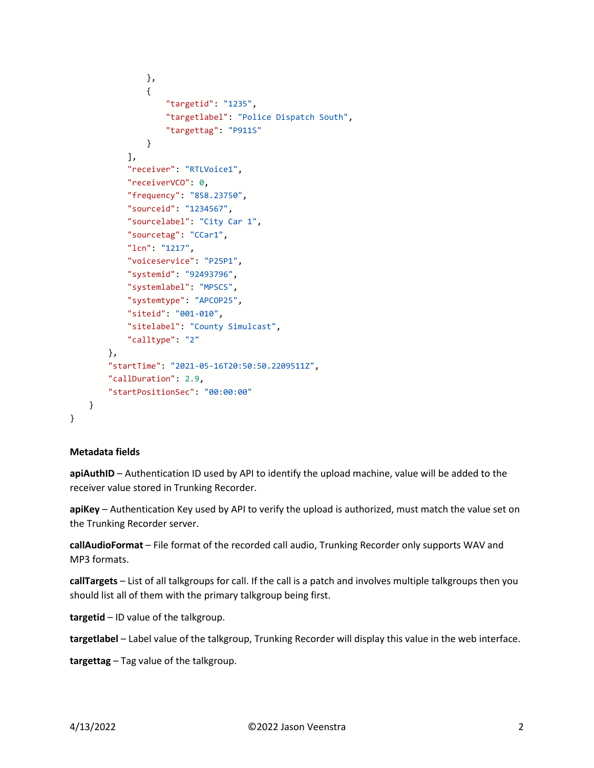```
 },
\overline{\mathcal{L}} "targetid": "1235",
                      "targetlabel": "Police Dispatch South",
                      "targettag": "P911S"
 }
             ],
             "receiver": "RTLVoice1",
             "receiverVCO": 0,
             "frequency": "858.23750",
             "sourceid": "1234567",
             "sourcelabel": "City Car 1",
             "sourcetag": "CCar1",
             "lcn": "1217",
             "voiceservice": "P25P1",
             "systemid": "92493796",
             "systemlabel": "MPSCS",
             "systemtype": "APCOP25",
             "siteid": "001-010",
             "sitelabel": "County Simulcast",
             "calltype": "2"
         },
         "startTime": "2021-05-16T20:50:50.2209511Z",
         "callDuration": 2.9,
         "startPositionSec": "00:00:00"
    }
}
```
#### **Metadata fields**

**apiAuthID** – Authentication ID used by API to identify the upload machine, value will be added to the receiver value stored in Trunking Recorder.

**apiKey** – Authentication Key used by API to verify the upload is authorized, must match the value set on the Trunking Recorder server.

**callAudioFormat** – File format of the recorded call audio, Trunking Recorder only supports WAV and MP3 formats.

**callTargets** – List of all talkgroups for call. If the call is a patch and involves multiple talkgroups then you should list all of them with the primary talkgroup being first.

**targetid** – ID value of the talkgroup.

**targetlabel** – Label value of the talkgroup, Trunking Recorder will display this value in the web interface.

**targettag** – Tag value of the talkgroup.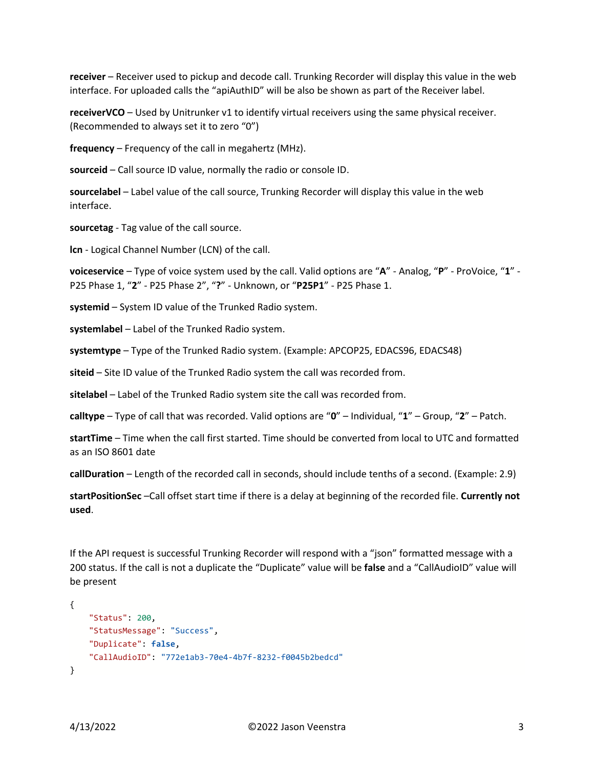**receiver** – Receiver used to pickup and decode call. Trunking Recorder will display this value in the web interface. For uploaded calls the "apiAuthID" will be also be shown as part of the Receiver label.

**receiverVCO** – Used by Unitrunker v1 to identify virtual receivers using the same physical receiver. (Recommended to always set it to zero "0")

**frequency** – Frequency of the call in megahertz (MHz).

**sourceid** – Call source ID value, normally the radio or console ID.

**sourcelabel** – Label value of the call source, Trunking Recorder will display this value in the web interface.

**sourcetag** - Tag value of the call source.

**lcn** - Logical Channel Number (LCN) of the call.

**voiceservice** – Type of voice system used by the call. Valid options are "**A**" - Analog, "**P**" - ProVoice, "**1**" - P25 Phase 1, "**2**" - P25 Phase 2", "**?**" - Unknown, or "**P25P1**" - P25 Phase 1.

**systemid** – System ID value of the Trunked Radio system.

**systemlabel** – Label of the Trunked Radio system.

**systemtype** – Type of the Trunked Radio system. (Example: APCOP25, EDACS96, EDACS48)

**siteid** – Site ID value of the Trunked Radio system the call was recorded from.

**sitelabel** – Label of the Trunked Radio system site the call was recorded from.

**calltype** – Type of call that was recorded. Valid options are "**0**" – Individual, "**1**" – Group, "**2**" – Patch.

**startTime** – Time when the call first started. Time should be converted from local to UTC and formatted as an ISO 8601 date

**callDuration** – Length of the recorded call in seconds, should include tenths of a second. (Example: 2.9)

**startPositionSec** –Call offset start time if there is a delay at beginning of the recorded file. **Currently not used**.

If the API request is successful Trunking Recorder will respond with a "json" formatted message with a 200 status. If the call is not a duplicate the "Duplicate" value will be **false** and a "CallAudioID" value will be present

```
{
     "Status": 200,
     "StatusMessage": "Success",
     "Duplicate": false,
     "CallAudioID": "772e1ab3-70e4-4b7f-8232-f0045b2bedcd"
}
```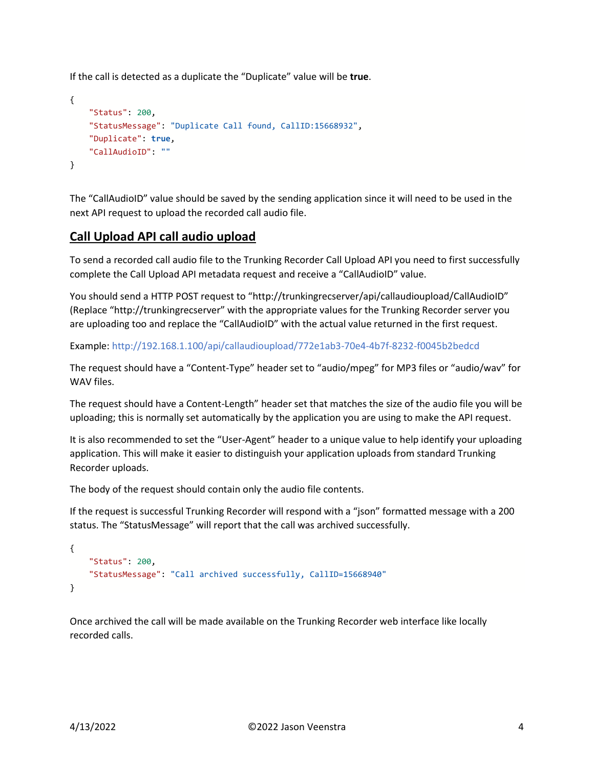If the call is detected as a duplicate the "Duplicate" value will be **true**.

```
{
     "Status": 200,
     "StatusMessage": "Duplicate Call found, CallID:15668932",
     "Duplicate": true,
     "CallAudioID": ""
}
```
The "CallAudioID" value should be saved by the sending application since it will need to be used in the next API request to upload the recorded call audio file.

## **Call Upload API call audio upload**

To send a recorded call audio file to the Trunking Recorder Call Upload API you need to first successfully complete the Call Upload API metadata request and receive a "CallAudioID" value.

You should send a HTTP POST request to "http://trunkingrecserver/api/callaudioupload/CallAudioID" (Replace "http://trunkingrecserver" with the appropriate values for the Trunking Recorder server you are uploading too and replace the "CallAudioID" with the actual value returned in the first request.

Example: http://192.168.1.100/api/callaudioupload/772e1ab3-70e4-4b7f-8232-f0045b2bedcd

The request should have a "Content-Type" header set to "audio/mpeg" for MP3 files or "audio/wav" for WAV files.

The request should have a Content-Length" header set that matches the size of the audio file you will be uploading; this is normally set automatically by the application you are using to make the API request.

It is also recommended to set the "User-Agent" header to a unique value to help identify your uploading application. This will make it easier to distinguish your application uploads from standard Trunking Recorder uploads.

The body of the request should contain only the audio file contents.

If the request is successful Trunking Recorder will respond with a "json" formatted message with a 200 status. The "StatusMessage" will report that the call was archived successfully.

```
{
     "Status": 200,
     "StatusMessage": "Call archived successfully, CallID=15668940"
}
```
Once archived the call will be made available on the Trunking Recorder web interface like locally recorded calls.